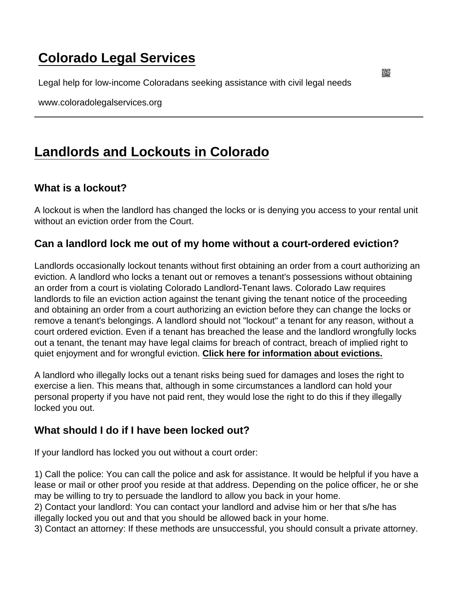## [Colorado Legal Services](https://www.coloradolegalservices.org/)

Legal help for low-income Coloradans seeking assistance with civil legal needs

www.coloradolegalservices.org

## [Landlords and Lockouts in Colorado](https://www.coloradolegalservices.org/node/29/landlords-and-lockouts-colorado)

## What is a lockout?

A lockout is when the landlord has changed the locks or is denying you access to your rental unit without an eviction order from the Court.

Can a landlord lock me out of my home without a court-ordered eviction?

Landlords occasionally lockout tenants without first obtaining an order from a court authorizing an eviction. A landlord who locks a tenant out or removes a tenant's possessions without obtaining an order from a court is violating Colorado Landlord-Tenant laws. Colorado Law requires landlords to file an eviction action against the tenant giving the tenant notice of the proceeding and obtaining an order from a court authorizing an eviction before they can change the locks or remove a tenant's belongings. A landlord should not "lockout" a tenant for any reason, without a court ordered eviction. Even if a tenant has breached the lease and the landlord wrongfully locks out a tenant, the tenant may have legal claims for breach of contract, breach of implied right to quiet enjoyment and for wrongful eviction. [Click here for information about evictions.](http://lawhelp.coloradolegalservices.org/resource/questions-and-answers-about-eviction?ref=0EZdy)

A landlord who illegally locks out a tenant risks being sued for damages and loses the right to exercise a lien. This means that, although in some circumstances a landlord can hold your personal property if you have not paid rent, they would lose the right to do this if they illegally locked you out.

## What should I do if I have been locked out?

If your landlord has locked you out without a court order:

1) Call the police: You can call the police and ask for assistance. It would be helpful if you have a lease or mail or other proof you reside at that address. Depending on the police officer, he or she may be willing to try to persuade the landlord to allow you back in your home.

2) Contact your landlord: You can contact your landlord and advise him or her that s/he has illegally locked you out and that you should be allowed back in your home.

3) Contact an attorney: If these methods are unsuccessful, you should consult a private attorney.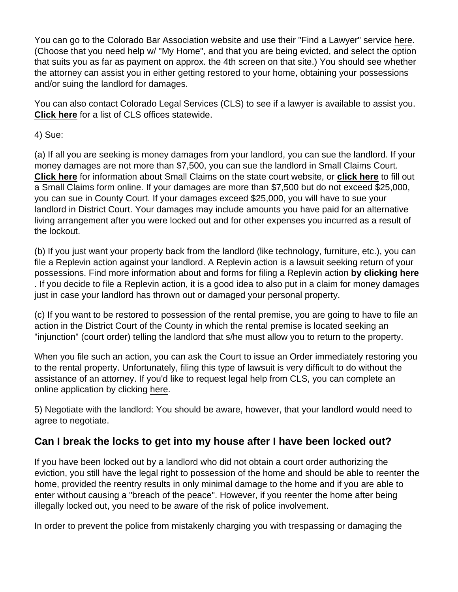You can go to the Colorado Bar Association website and use their "Find a Lawyer" service [here](https://www.licensedlawyer.org/co). (Choose that you need help w/ "My Home", and that you are being evicted, and select the option that suits you as far as payment on approx. the 4th screen on that site.) You should see whether the attorney can assist you in either getting restored to your home, obtaining your possessions and/or suing the landlord for damages.

You can also contact Colorado Legal Services (CLS) to see if a lawyer is available to assist you. [Click here](https://www.coloradolegalservices.org/node/4/contact-colorado-legal-services) for a list of CLS offices statewide.

4) Sue:

(a) If all you are seeking is money damages from your landlord, you can sue the landlord. If your money damages are not more than \$7,500, you can sue the landlord in Small Claims Court. [Click here](http://www.courts.state.co.us/Self_Help/Local_Small_Claims.cfm) for information about Small Claims on the state court website, or [click here](http://www.courts.state.co.us/Forms/Forms_List.cfm/Form_Type_ID/9) to fill out a Small Claims form online. If your damages are more than \$7,500 but do not exceed \$25,000, you can sue in County Court. If your damages exceed \$25,000, you will have to sue your landlord in District Court. Your damages may include amounts you have paid for an alternative living arrangement after you were locked out and for other expenses you incurred as a result of the lockout.

(b) If you just want your property back from the landlord (like technology, furniture, etc.), you can file a Replevin action against your landlord. A Replevin action is a lawsuit seeking return of your possessions. Find more information about and forms for filing a Replevin action [by clicking here](http://www.courts.state.co.us/Forms/Forms_List.cfm/Form_Type_ID/31) . If you decide to file a Replevin action, it is a good idea to also put in a claim for money damages just in case your landlord has thrown out or damaged your personal property.

(c) If you want to be restored to possession of the rental premise, you are going to have to file an action in the District Court of the County in which the rental premise is located seeking an "injunction" (court order) telling the landlord that s/he must allow you to return to the property.

When you file such an action, you can ask the Court to issue an Order immediately restoring you to the rental property. Unfortunately, filing this type of lawsuit is very difficult to do without the assistance of an attorney. If you'd like to request legal help from CLS, you can complete an online application by clicking [here.](https://colsoi.legalserver.org/modules/matter/extern_intake.php?pid=129&h=daa817&)

5) Negotiate with the landlord: You should be aware, however, that your landlord would need to agree to negotiate.

Can I break the locks to get into my house after I have been locked out?

If you have been locked out by a landlord who did not obtain a court order authorizing the eviction, you still have the legal right to possession of the home and should be able to reenter the home, provided the reentry results in only minimal damage to the home and if you are able to enter without causing a "breach of the peace". However, if you reenter the home after being illegally locked out, you need to be aware of the risk of police involvement.

In order to prevent the police from mistakenly charging you with trespassing or damaging the